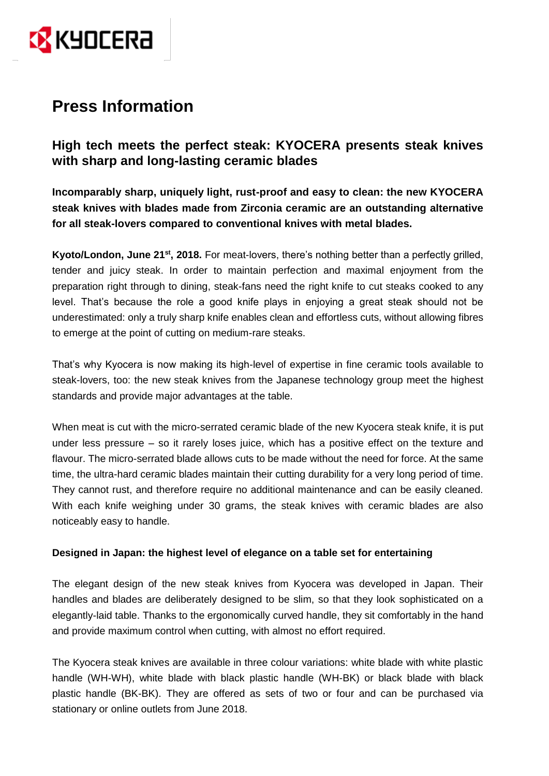

# **Press Information**

**High tech meets the perfect steak: KYOCERA presents steak knives with sharp and long-lasting ceramic blades**

**Incomparably sharp, uniquely light, rust-proof and easy to clean: the new KYOCERA steak knives with blades made from Zirconia ceramic are an outstanding alternative for all steak-lovers compared to conventional knives with metal blades.**

Kyoto/London, June 21<sup>st</sup>, 2018. For meat-lovers, there's nothing better than a perfectly grilled, tender and juicy steak. In order to maintain perfection and maximal enjoyment from the preparation right through to dining, steak-fans need the right knife to cut steaks cooked to any level. That's because the role a good knife plays in enjoying a great steak should not be underestimated: only a truly sharp knife enables clean and effortless cuts, without allowing fibres to emerge at the point of cutting on medium-rare steaks.

That's why Kyocera is now making its high-level of expertise in fine ceramic tools available to steak-lovers, too: the new steak knives from the Japanese technology group meet the highest standards and provide major advantages at the table.

When meat is cut with the micro-serrated ceramic blade of the new Kyocera steak knife, it is put under less pressure – so it rarely loses juice, which has a positive effect on the texture and flavour. The micro-serrated blade allows cuts to be made without the need for force. At the same time, the ultra-hard ceramic blades maintain their cutting durability for a very long period of time. They cannot rust, and therefore require no additional maintenance and can be easily cleaned. With each knife weighing under 30 grams, the steak knives with ceramic blades are also noticeably easy to handle.

## **Designed in Japan: the highest level of elegance on a table set for entertaining**

The elegant design of the new steak knives from Kyocera was developed in Japan. Their handles and blades are deliberately designed to be slim, so that they look sophisticated on a elegantly-laid table. Thanks to the ergonomically curved handle, they sit comfortably in the hand and provide maximum control when cutting, with almost no effort required.

The Kyocera steak knives are available in three colour variations: white blade with white plastic handle (WH-WH), white blade with black plastic handle (WH-BK) or black blade with black plastic handle (BK-BK). They are offered as sets of two or four and can be purchased via stationary or online outlets from June 2018.